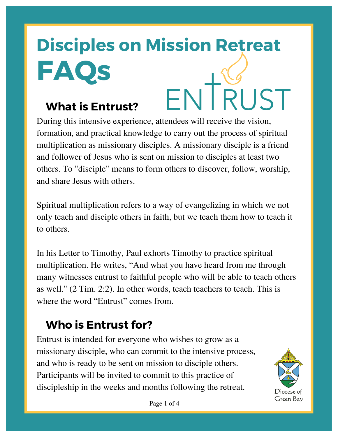# **Disciples on Mission Retreat FAQs** ENTRUST

#### **What is Entrust?**

During this intensive experience, attendees will receive the vision, formation, and practical knowledge to carry out the process of spiritual multiplication as missionary disciples. A missionary disciple is a friend and follower of Jesus who is sent on mission to disciples at least two others. To "disciple" means to form others to discover, follow, worship, and share Jesus with others.

Spiritual multiplication refers to a way of evangelizing in which we not only teach and disciple others in faith, but we teach them how to teach it to others.

In his Letter to Timothy, Paul exhorts Timothy to practice spiritual multiplication. He writes, "And what you have heard from me through many witnesses entrust to faithful people who will be able to teach others as well." (2 Tim. 2:2). In other words, teach teachers to teach. This is where the word "Entrust" comes from.

## **Who is Entrust for?**

Entrust is intended for everyone who wishes to grow as a missionary disciple, who can commit to the intensive process, and who is ready to be sent on mission to disciple others. Participants will be invited to commit to this practice of discipleship in the weeks and months following the retreat.



Page 1 of 4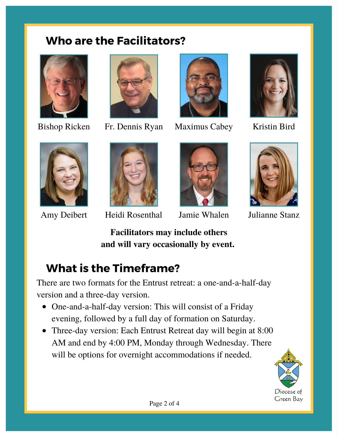#### **Who are the Facilitators?**





Bishop Ricken Fr. Dennis Ryan Maximus Cabey Kristin Bird









Amy Deibert Heidi Rosenthal Jamie Whalen Julianne Stanz





**Facilitators may include others and will vary occasionally by event.**

#### **What is the Timeframe?**

There are two formats for the Entrust retreat: a one-and-a-half-day version and a three-day version.

- One-and-a-half-day version: This will consist of a Friday evening, followed by a full day of formation on Saturday.
- Three-day version: Each Entrust Retreat day will begin at 8:00 AM and end by 4:00 PM, Monday through Wednesday. There will be options for overnight accommodations if needed.

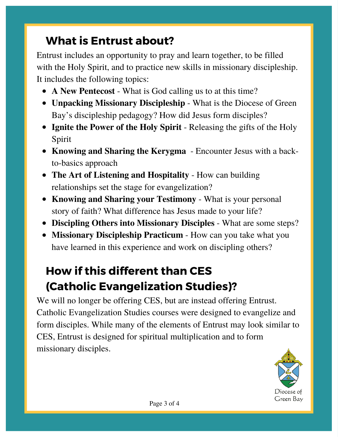#### **What is Entrust about?**

Entrust includes an opportunity to pray and learn together, to be filled with the Holy Spirit, and to practice new skills in missionary discipleship. It includes the following topics:

- **A New Pentecost** What is God calling us to at this time?
- **Unpacking Missionary Discipleship** What is the Diocese of Green Bay's discipleship pedagogy? How did Jesus form disciples?
- **Ignite the Power of the Holy Spirit** Releasing the gifts of the Holy Spirit
- **Knowing and Sharing the Kerygma** Encounter Jesus with a backto-basics approach
- **The Art of Listening and Hospitality** How can building relationships set the stage for evangelization?
- **Knowing and Sharing your Testimony** What is your personal story of faith? What difference has Jesus made to your life?
- **Discipling Others into Missionary Disciples** What are some steps?
- **Missionary Discipleship Practicum** How can you take what you have learned in this experience and work on discipling others?

## **How if this different than CES (Catholic Evangelization Studies)?**

We will no longer be offering CES, but are instead offering Entrust. Catholic Evangelization Studies courses were designed to evangelize and form disciples. While many of the elements of Entrust may look similar to CES, Entrust is designed for spiritual multiplication and to form missionary disciples.